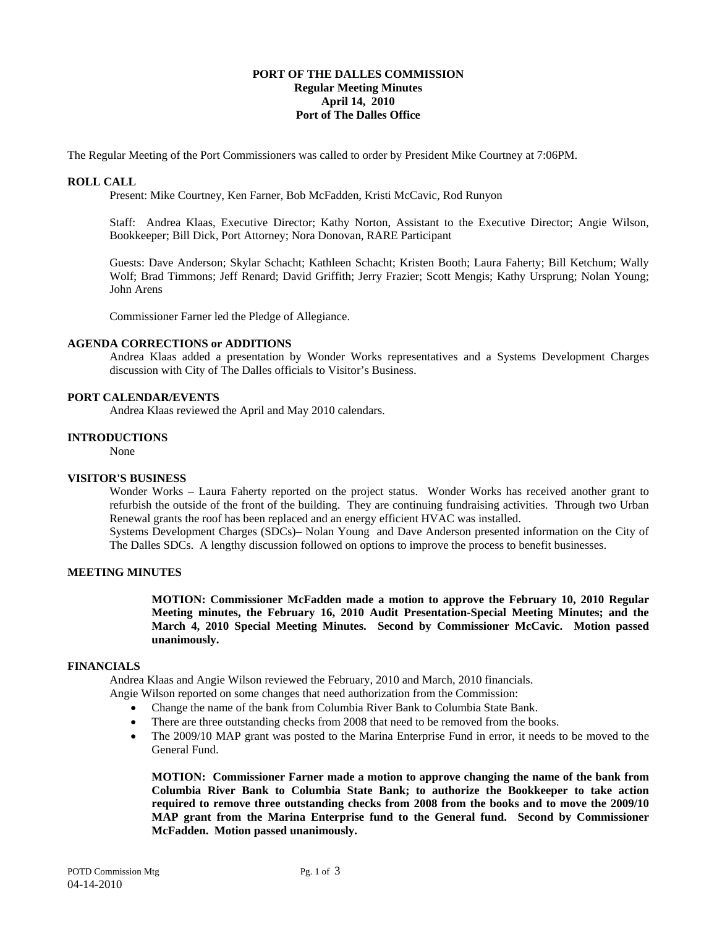## **PORT OF THE DALLES COMMISSION Regular Meeting Minutes April 14, 2010 Port of The Dalles Office**

The Regular Meeting of the Port Commissioners was called to order by President Mike Courtney at 7:06PM.

## **ROLL CALL**

Present: Mike Courtney, Ken Farner, Bob McFadden, Kristi McCavic, Rod Runyon

Staff: Andrea Klaas, Executive Director; Kathy Norton, Assistant to the Executive Director; Angie Wilson, Bookkeeper; Bill Dick, Port Attorney; Nora Donovan, RARE Participant

Guests: Dave Anderson; Skylar Schacht; Kathleen Schacht; Kristen Booth; Laura Faherty; Bill Ketchum; Wally Wolf; Brad Timmons; Jeff Renard; David Griffith; Jerry Frazier; Scott Mengis; Kathy Ursprung; Nolan Young; John Arens

Commissioner Farner led the Pledge of Allegiance.

#### **AGENDA CORRECTIONS or ADDITIONS**

Andrea Klaas added a presentation by Wonder Works representatives and a Systems Development Charges discussion with City of The Dalles officials to Visitor's Business.

### **PORT CALENDAR/EVENTS**

Andrea Klaas reviewed the April and May 2010 calendars.

## **INTRODUCTIONS**

None

### **VISITOR'S BUSINESS**

Wonder Works – Laura Faherty reported on the project status. Wonder Works has received another grant to refurbish the outside of the front of the building. They are continuing fundraising activities. Through two Urban Renewal grants the roof has been replaced and an energy efficient HVAC was installed.

Systems Development Charges (SDCs)– Nolan Young and Dave Anderson presented information on the City of The Dalles SDCs. A lengthy discussion followed on options to improve the process to benefit businesses.

# **MEETING MINUTES**

**MOTION: Commissioner McFadden made a motion to approve the February 10, 2010 Regular Meeting minutes, the February 16, 2010 Audit Presentation-Special Meeting Minutes; and the March 4, 2010 Special Meeting Minutes. Second by Commissioner McCavic. Motion passed unanimously.**

### **FINANCIALS**

Andrea Klaas and Angie Wilson reviewed the February, 2010 and March, 2010 financials.

Angie Wilson reported on some changes that need authorization from the Commission:

- Change the name of the bank from Columbia River Bank to Columbia State Bank.
- There are three outstanding checks from 2008 that need to be removed from the books.
- The 2009/10 MAP grant was posted to the Marina Enterprise Fund in error, it needs to be moved to the General Fund.

**MOTION: Commissioner Farner made a motion to approve changing the name of the bank from Columbia River Bank to Columbia State Bank; to authorize the Bookkeeper to take action required to remove three outstanding checks from 2008 from the books and to move the 2009/10 MAP grant from the Marina Enterprise fund to the General fund. Second by Commissioner McFadden. Motion passed unanimously.**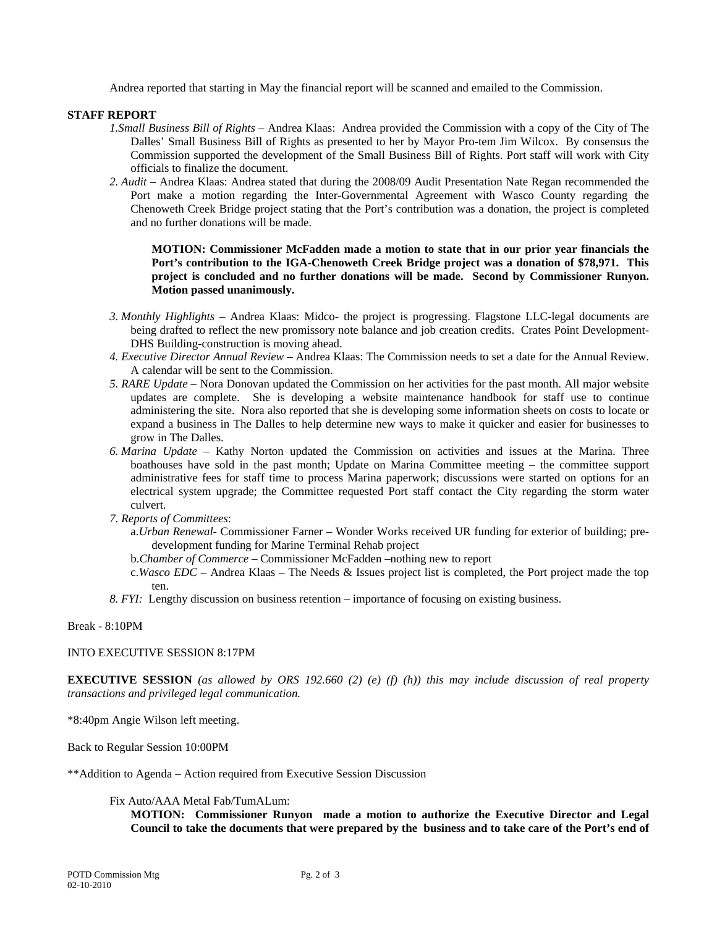Andrea reported that starting in May the financial report will be scanned and emailed to the Commission.

# **STAFF REPORT**

- *1.Small Business Bill of Rights –* Andrea Klaas: Andrea provided the Commission with a copy of the City of The Dalles' Small Business Bill of Rights as presented to her by Mayor Pro-tem Jim Wilcox. By consensus the Commission supported the development of the Small Business Bill of Rights. Port staff will work with City officials to finalize the document.
- *2. Audit* Andrea Klaas: Andrea stated that during the 2008/09 Audit Presentation Nate Regan recommended the Port make a motion regarding the Inter-Governmental Agreement with Wasco County regarding the Chenoweth Creek Bridge project stating that the Port's contribution was a donation, the project is completed and no further donations will be made.

**MOTION: Commissioner McFadden made a motion to state that in our prior year financials the Port's contribution to the IGA-Chenoweth Creek Bridge project was a donation of \$78,971. This project is concluded and no further donations will be made. Second by Commissioner Runyon. Motion passed unanimously.** 

- *3. Monthly Highlights* Andrea Klaas: Midco*-* the project is progressing. Flagstone LLC-legal documents are being drafted to reflect the new promissory note balance and job creation credits. Crates Point Development-DHS Building-construction is moving ahead.
- *4. Executive Director Annual Review* Andrea Klaas: The Commission needs to set a date for the Annual Review. A calendar will be sent to the Commission.
- *5. RARE Update* Nora Donovan updated the Commission on her activities for the past month. All major website updates are complete. She is developing a website maintenance handbook for staff use to continue administering the site. Nora also reported that she is developing some information sheets on costs to locate or expand a business in The Dalles to help determine new ways to make it quicker and easier for businesses to grow in The Dalles.
- *6. Marina Update* Kathy Norton updated the Commission on activities and issues at the Marina. Three boathouses have sold in the past month; Update on Marina Committee meeting – the committee support administrative fees for staff time to process Marina paperwork; discussions were started on options for an electrical system upgrade; the Committee requested Port staff contact the City regarding the storm water culvert.
- *7. Reports of Committees*:
	- a.*Urban Renewal-* Commissioner Farner Wonder Works received UR funding for exterior of building; predevelopment funding for Marine Terminal Rehab project
	- b.*Chamber of Commerce*  Commissioner McFadden –nothing new to report
	- c.*Wasco EDC* Andrea Klaas The Needs & Issues project list is completed, the Port project made the top ten.
- *8. FYI:* Lengthy discussion on business retention importance of focusing on existing business.

### Break - 8:10PM

### INTO EXECUTIVE SESSION 8:17PM

**EXECUTIVE SESSION** *(as allowed by ORS 192.660 (2) (e) (f) (h)) this may include discussion of real property transactions and privileged legal communication.*

\*8:40pm Angie Wilson left meeting.

Back to Regular Session 10:00PM

\*\*Addition to Agenda – Action required from Executive Session Discussion

### Fix Auto/AAA Metal Fab/TumALum:

**MOTION: Commissioner Runyon made a motion to authorize the Executive Director and Legal Council to take the documents that were prepared by the business and to take care of the Port's end of**